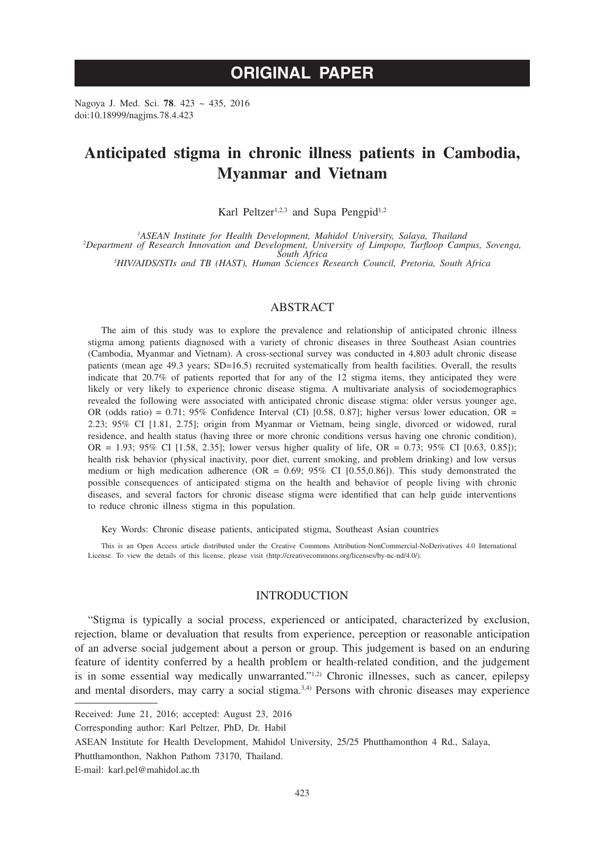# **ORIGINAL PAPER**

Nagoya J. Med. Sci. **78**. 423 ~ 435, 2016 doi:10.18999/nagjms.78.4.423

# **Anticipated stigma in chronic illness patients in Cambodia, Myanmar and Vietnam**

Karl Peltzer<sup>1,2,3</sup> and Supa Pengpid<sup>1,2</sup>

<sup>1</sup>ASEAN Institute for Health Development, Mahidol University, Salaya, Thailand <sup>1</sup>ASEAN Institute for Health Development, Mahidol University, Salaya, Thailand<br>2Department of Research Innovation and Development, University of Limpopo, Turfloop Campus, Sovenga,<br><sup>3</sup>HIV/AIDS/STIs and TR (HAST) Human Scie

*HIV/AIDS/STIs and TB (HAST), Human Sciences Research Council, Pretoria, South Africa*

# ABSTRACT

The aim of this study was to explore the prevalence and relationship of anticipated chronic illness stigma among patients diagnosed with a variety of chronic diseases in three Southeast Asian countries (Cambodia, Myanmar and Vietnam). A cross-sectional survey was conducted in 4,803 adult chronic disease patients (mean age 49.3 years; SD=16.5) recruited systematically from health facilities. Overall, the results indicate that 20.7% of patients reported that for any of the 12 stigma items, they anticipated they were likely or very likely to experience chronic disease stigma. A multivariate analysis of sociodemographics revealed the following were associated with anticipated chronic disease stigma: older versus younger age, OR (odds ratio) =  $0.71$ ;  $95\%$  Confidence Interval (CI) [0.58, 0.87]; higher versus lower education, OR = 2.23; 95% CI [1.81, 2.75]; origin from Myanmar or Vietnam, being single, divorced or widowed, rural residence, and health status (having three or more chronic conditions versus having one chronic condition), OR = 1.93; 95% CI [1.58, 2.35]; lower versus higher quality of life, OR = 0.73; 95% CI [0.63, 0.85]); health risk behavior (physical inactivity, poor diet, current smoking, and problem drinking) and low versus medium or high medication adherence (OR =  $0.69$ ; 95% CI [0.55,0.86]). This study demonstrated the possible consequences of anticipated stigma on the health and behavior of people living with chronic diseases, and several factors for chronic disease stigma were identified that can help guide interventions to reduce chronic illness stigma in this population.

Key Words: Chronic disease patients, anticipated stigma, Southeast Asian countries

This is an Open Access article distributed under the Creative Commons Attribution-NonCommercial-NoDerivatives 4.0 International License. To view the details of this license, please visit (http://creativecommons.org/licenses/by-nc-nd/4.0/).

# INTRODUCTION

"Stigma is typically a social process, experienced or anticipated, characterized by exclusion, rejection, blame or devaluation that results from experience, perception or reasonable anticipation of an adverse social judgement about a person or group. This judgement is based on an enduring feature of identity conferred by a health problem or health-related condition, and the judgement is in some essential way medically unwarranted."<sup>1,2)</sup> Chronic illnesses, such as cancer, epilepsy and mental disorders, may carry a social stigma. $3,4$  Persons with chronic diseases may experience

Received: June 21, 2016; accepted: August 23, 2016

Corresponding author: Karl Peltzer, PhD, Dr. Habil

ASEAN Institute for Health Development, Mahidol University, 25/25 Phutthamonthon 4 Rd., Salaya,

Phutthamonthon, Nakhon Pathom 73170, Thailand.

E-mail: karl.pel@mahidol.ac.th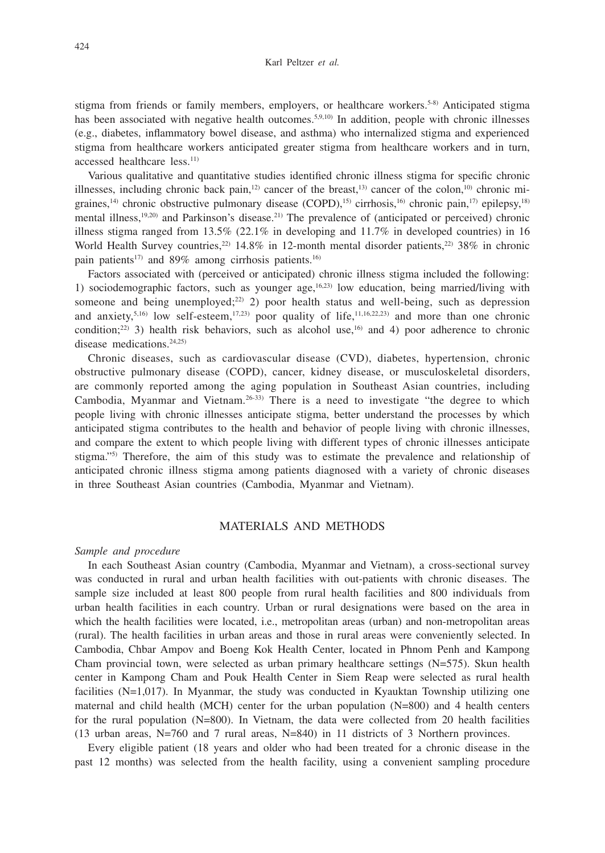stigma from friends or family members, employers, or healthcare workers.<sup>5-8)</sup> Anticipated stigma has been associated with negative health outcomes.<sup>5,9,10)</sup> In addition, people with chronic illnesses (e.g., diabetes, inflammatory bowel disease, and asthma) who internalized stigma and experienced stigma from healthcare workers anticipated greater stigma from healthcare workers and in turn, accessed healthcare less.<sup>11)</sup>

Various qualitative and quantitative studies identified chronic illness stigma for specific chronic illnesses, including chronic back pain,<sup>12)</sup> cancer of the breast,<sup>13)</sup> cancer of the colon,<sup>10</sup> chronic migraines,<sup>14)</sup> chronic obstructive pulmonary disease (COPD),<sup>15)</sup> cirrhosis,<sup>16)</sup> chronic pain,<sup>17)</sup> epilepsy,<sup>18)</sup> mental illness,19,20) and Parkinson's disease.21) The prevalence of (anticipated or perceived) chronic illness stigma ranged from  $13.5\%$  (22.1% in developing and  $11.7\%$  in developed countries) in 16 World Health Survey countries,<sup>22)</sup> 14.8% in 12-month mental disorder patients,<sup>22)</sup> 38% in chronic pain patients<sup>17)</sup> and 89% among cirrhosis patients.<sup>16)</sup>

Factors associated with (perceived or anticipated) chronic illness stigma included the following: 1) sociodemographic factors, such as younger age, $16,23$  low education, being married/living with someone and being unemployed;<sup>22)</sup> 2) poor health status and well-being, such as depression and anxiety,<sup>5,16)</sup> low self-esteem,<sup>17,23)</sup> poor quality of life,<sup>11,16,22,23)</sup> and more than one chronic condition;<sup>22)</sup> 3) health risk behaviors, such as alcohol use,<sup>16)</sup> and 4) poor adherence to chronic disease medications.24,25)

Chronic diseases, such as cardiovascular disease (CVD), diabetes, hypertension, chronic obstructive pulmonary disease (COPD), cancer, kidney disease, or musculoskeletal disorders, are commonly reported among the aging population in Southeast Asian countries, including Cambodia, Myanmar and Vietnam.26-33) There is a need to investigate "the degree to which people living with chronic illnesses anticipate stigma, better understand the processes by which anticipated stigma contributes to the health and behavior of people living with chronic illnesses, and compare the extent to which people living with different types of chronic illnesses anticipate stigma."5) Therefore, the aim of this study was to estimate the prevalence and relationship of anticipated chronic illness stigma among patients diagnosed with a variety of chronic diseases in three Southeast Asian countries (Cambodia, Myanmar and Vietnam).

#### MATERIALS AND METHODS

#### *Sample and procedure*

In each Southeast Asian country (Cambodia, Myanmar and Vietnam), a cross-sectional survey was conducted in rural and urban health facilities with out-patients with chronic diseases. The sample size included at least 800 people from rural health facilities and 800 individuals from urban health facilities in each country. Urban or rural designations were based on the area in which the health facilities were located, i.e., metropolitan areas (urban) and non-metropolitan areas (rural). The health facilities in urban areas and those in rural areas were conveniently selected. In Cambodia, Chbar Ampov and Boeng Kok Health Center, located in Phnom Penh and Kampong Cham provincial town, were selected as urban primary healthcare settings  $(N=575)$ . Skun health center in Kampong Cham and Pouk Health Center in Siem Reap were selected as rural health facilities  $(N=1,017)$ . In Myanmar, the study was conducted in Kyauktan Township utilizing one maternal and child health (MCH) center for the urban population (N=800) and 4 health centers for the rural population (N=800). In Vietnam, the data were collected from 20 health facilities (13 urban areas, N=760 and 7 rural areas, N=840) in 11 districts of 3 Northern provinces.

Every eligible patient (18 years and older who had been treated for a chronic disease in the past 12 months) was selected from the health facility, using a convenient sampling procedure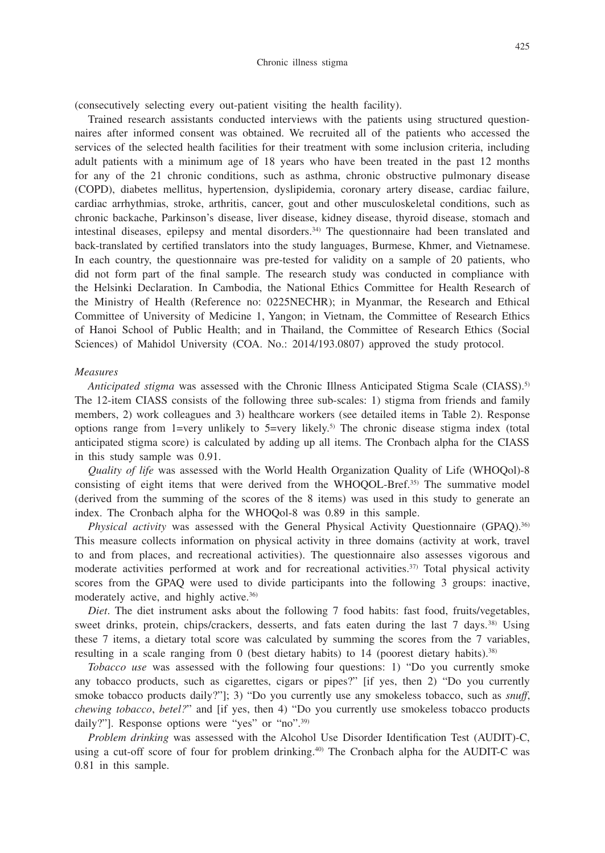(consecutively selecting every out-patient visiting the health facility).

Trained research assistants conducted interviews with the patients using structured questionnaires after informed consent was obtained. We recruited all of the patients who accessed the services of the selected health facilities for their treatment with some inclusion criteria, including adult patients with a minimum age of 18 years who have been treated in the past 12 months for any of the 21 chronic conditions, such as asthma, chronic obstructive pulmonary disease (COPD), diabetes mellitus, hypertension, dyslipidemia, coronary artery disease, cardiac failure, cardiac arrhythmias, stroke, arthritis, cancer, gout and other musculoskeletal conditions, such as chronic backache, Parkinson's disease, liver disease, kidney disease, thyroid disease, stomach and intestinal diseases, epilepsy and mental disorders.<sup>34)</sup> The questionnaire had been translated and back-translated by certified translators into the study languages, Burmese, Khmer, and Vietnamese. In each country, the questionnaire was pre-tested for validity on a sample of 20 patients, who did not form part of the final sample. The research study was conducted in compliance with the Helsinki Declaration. In Cambodia, the National Ethics Committee for Health Research of the Ministry of Health (Reference no: 0225NECHR); in Myanmar, the Research and Ethical Committee of University of Medicine 1, Yangon; in Vietnam, the Committee of Research Ethics of Hanoi School of Public Health; and in Thailand, the Committee of Research Ethics (Social Sciences) of Mahidol University (COA. No.: 2014/193.0807) approved the study protocol.

#### *Measures*

*Anticipated stigma* was assessed with the Chronic Illness Anticipated Stigma Scale (CIASS).<sup>5)</sup> The 12-item CIASS consists of the following three sub-scales: 1) stigma from friends and family members, 2) work colleagues and 3) healthcare workers (see detailed items in Table 2). Response options range from 1=very unlikely to  $5=$ very likely.<sup>5)</sup> The chronic disease stigma index (total anticipated stigma score) is calculated by adding up all items. The Cronbach alpha for the CIASS in this study sample was 0.91.

*Quality of life* was assessed with the World Health Organization Quality of Life (WHOQol)-8 consisting of eight items that were derived from the WHOQOL-Bref.35) The summative model (derived from the summing of the scores of the 8 items) was used in this study to generate an index. The Cronbach alpha for the WHOQol-8 was 0.89 in this sample.

*Physical activity* was assessed with the General Physical Activity Questionnaire (GPAQ).<sup>36)</sup> This measure collects information on physical activity in three domains (activity at work, travel to and from places, and recreational activities). The questionnaire also assesses vigorous and moderate activities performed at work and for recreational activities.<sup>37)</sup> Total physical activity scores from the GPAQ were used to divide participants into the following 3 groups: inactive, moderately active, and highly active.36)

*Diet*. The diet instrument asks about the following 7 food habits: fast food, fruits/vegetables, sweet drinks, protein, chips/crackers, desserts, and fats eaten during the last 7 days.<sup>38)</sup> Using these 7 items, a dietary total score was calculated by summing the scores from the 7 variables, resulting in a scale ranging from 0 (best dietary habits) to  $14$  (poorest dietary habits).<sup>38)</sup>

*Tobacco use* was assessed with the following four questions: 1) "Do you currently smoke any tobacco products, such as cigarettes, cigars or pipes?" [if yes, then 2) "Do you currently smoke tobacco products daily?"]; 3) "Do you currently use any smokeless tobacco, such as *snuff*, *chewing tobacco*, *betel?*" and [if yes, then 4) "Do you currently use smokeless tobacco products daily?"]. Response options were "yes" or "no".<sup>39)</sup>

*Problem drinking* was assessed with the Alcohol Use Disorder Identification Test (AUDIT)-C, using a cut-off score of four for problem drinking.40) The Cronbach alpha for the AUDIT-C was 0.81 in this sample.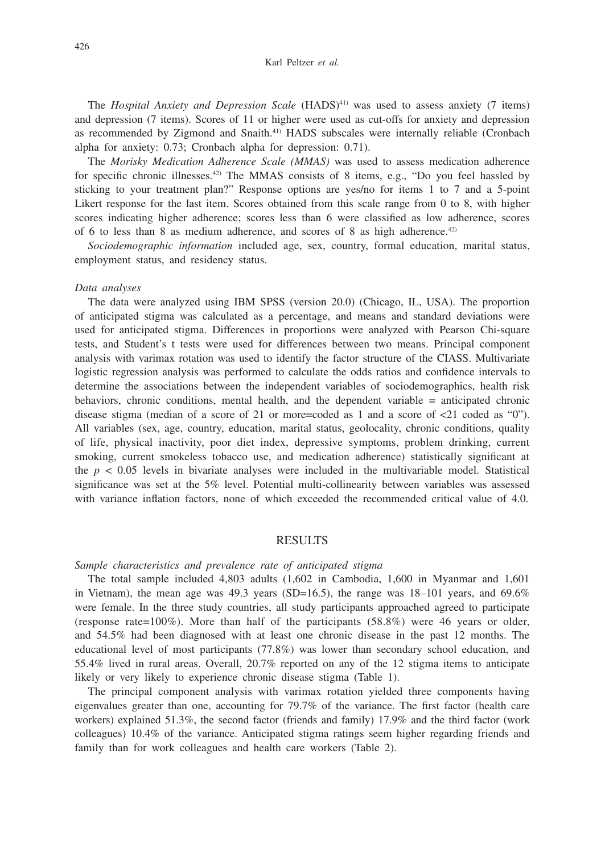The *Hospital Anxiety and Depression Scale* (HADS)<sup>41)</sup> was used to assess anxiety (7 items) and depression (7 items). Scores of 11 or higher were used as cut-offs for anxiety and depression as recommended by Zigmond and Snaith.41) HADS subscales were internally reliable (Cronbach alpha for anxiety: 0.73; Cronbach alpha for depression: 0.71).

The *Morisky Medication Adherence Scale (MMAS)* was used to assess medication adherence for specific chronic illnesses.42) The MMAS consists of 8 items, e.g., "Do you feel hassled by sticking to your treatment plan?" Response options are yes/no for items 1 to 7 and a 5-point Likert response for the last item. Scores obtained from this scale range from 0 to 8, with higher scores indicating higher adherence; scores less than 6 were classified as low adherence, scores of 6 to less than 8 as medium adherence, and scores of 8 as high adherence.<sup>42)</sup>

*Sociodemographic information* included age, sex, country, formal education, marital status, employment status, and residency status.

#### *Data analyses*

The data were analyzed using IBM SPSS (version 20.0) (Chicago, IL, USA). The proportion of anticipated stigma was calculated as a percentage, and means and standard deviations were used for anticipated stigma. Differences in proportions were analyzed with Pearson Chi-square tests, and Student's t tests were used for differences between two means. Principal component analysis with varimax rotation was used to identify the factor structure of the CIASS. Multivariate logistic regression analysis was performed to calculate the odds ratios and confidence intervals to determine the associations between the independent variables of sociodemographics, health risk behaviors, chronic conditions, mental health, and the dependent variable = anticipated chronic disease stigma (median of a score of 21 or more=coded as 1 and a score of <21 coded as "0"). All variables (sex, age, country, education, marital status, geolocality, chronic conditions, quality of life, physical inactivity, poor diet index, depressive symptoms, problem drinking, current smoking, current smokeless tobacco use, and medication adherence) statistically significant at the  $p < 0.05$  levels in bivariate analyses were included in the multivariable model. Statistical significance was set at the 5% level. Potential multi-collinearity between variables was assessed with variance inflation factors, none of which exceeded the recommended critical value of 4.0.

# RESULTS

#### *Sample characteristics and prevalence rate of anticipated stigma*

The total sample included 4,803 adults (1,602 in Cambodia, 1,600 in Myanmar and 1,601 in Vietnam), the mean age was  $49.3$  years (SD=16.5), the range was  $18-101$  years, and  $69.6\%$ were female. In the three study countries, all study participants approached agreed to participate (response rate=100%). More than half of the participants  $(58.8%)$  were 46 years or older, and 54.5% had been diagnosed with at least one chronic disease in the past 12 months. The educational level of most participants (77.8%) was lower than secondary school education, and 55.4% lived in rural areas. Overall, 20.7% reported on any of the 12 stigma items to anticipate likely or very likely to experience chronic disease stigma (Table 1).

The principal component analysis with varimax rotation yielded three components having eigenvalues greater than one, accounting for 79.7% of the variance. The first factor (health care workers) explained 51.3%, the second factor (friends and family) 17.9% and the third factor (work colleagues) 10.4% of the variance. Anticipated stigma ratings seem higher regarding friends and family than for work colleagues and health care workers (Table 2).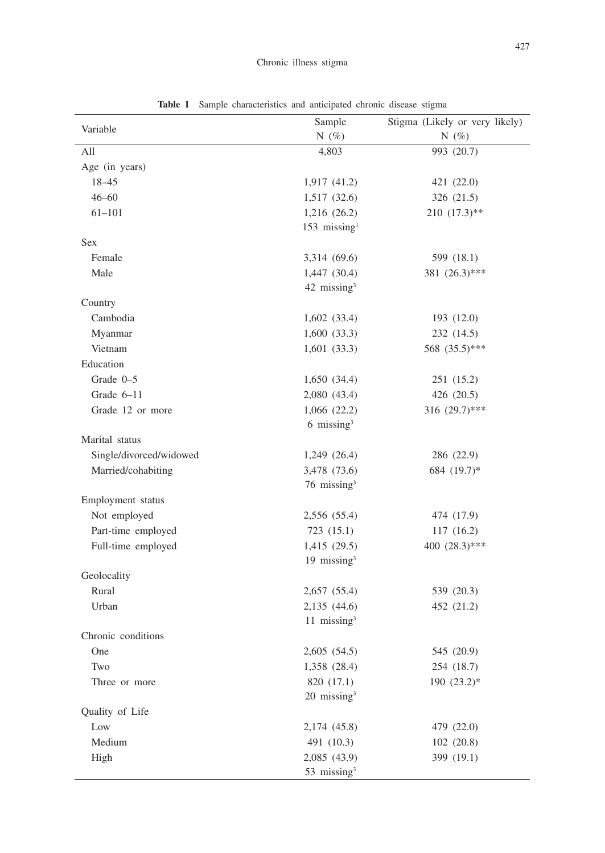| Variable                | Sample                     | Stigma (Likely or very likely) |  |  |
|-------------------------|----------------------------|--------------------------------|--|--|
|                         | N $(\%)$                   | N $(\%)$                       |  |  |
| All                     | 4,803                      | 993 (20.7)                     |  |  |
| Age (in years)          |                            |                                |  |  |
| $18 - 45$               | 1,917(41.2)                | 421 (22.0)                     |  |  |
| $46 - 60$               | 1,517 (32.6)               | 326 (21.5)                     |  |  |
| $61 - 101$              | 1,216 (26.2)               | $210(17.3)$ **                 |  |  |
|                         | $153$ missing <sup>1</sup> |                                |  |  |
| <b>Sex</b>              |                            |                                |  |  |
| Female                  | 3,314 (69.6)               | 599 (18.1)                     |  |  |
| Male                    | 1,447 (30.4)               | 381 (26.3)***                  |  |  |
|                         | $42$ missing <sup>3</sup>  |                                |  |  |
| Country                 |                            |                                |  |  |
| Cambodia                | 1,602(33.4)                | 193 (12.0)                     |  |  |
| Myanmar                 | 1,600(33.3)                | 232 (14.5)                     |  |  |
| Vietnam                 | 1,601(33.3)                | 568 (35.5)***                  |  |  |
| Education               |                            |                                |  |  |
| Grade 0-5               | 1,650 (34.4)               | 251 (15.2)                     |  |  |
| Grade 6-11              | 2,080 (43.4)               | 426 (20.5)                     |  |  |
| Grade 12 or more        | 1,066 (22.2)               | 316 $(29.7)$ ***               |  |  |
|                         | $6 \text{ missing}^3$      |                                |  |  |
| Marital status          |                            |                                |  |  |
| Single/divorced/widowed | 1,249 (26.4)               | 286 (22.9)                     |  |  |
| Married/cohabiting      | 3,478 (73.6)               | 684 (19.7)*                    |  |  |
|                         | 76 missing <sup>3</sup>    |                                |  |  |
| Employment status       |                            |                                |  |  |
| Not employed            | 2,556 (55.4)               | 474 (17.9)                     |  |  |
| Part-time employed      | 723(15.1)                  | 117 (16.2)                     |  |  |
| Full-time employed      | 1,415 (29.5)               | 400 (28.3)***                  |  |  |
|                         | 19 missing <sup>3</sup>    |                                |  |  |
| Geolocality             |                            |                                |  |  |
| Rural                   | 2,657(55.4)                | 539 (20.3)                     |  |  |
| Urban                   | 2,135 (44.6)               | 452 (21.2)                     |  |  |
|                         | 11 missing <sup>3</sup>    |                                |  |  |
| Chronic conditions      |                            |                                |  |  |
| One                     | 2,605(54.5)                | 545 (20.9)                     |  |  |
| Two                     | 1,358 (28.4)               | 254 (18.7)                     |  |  |
| Three or more           | 820 (17.1)                 | 190 (23.2)*                    |  |  |
|                         | $20$ missing <sup>3</sup>  |                                |  |  |
| Quality of Life         |                            |                                |  |  |
| Low                     | 2,174 (45.8)               | 479 (22.0)                     |  |  |
| Medium                  | 491 (10.3)                 | 102 (20.8)                     |  |  |
| High                    | 2,085 (43.9)               | 399 (19.1)                     |  |  |
|                         | 53 missing <sup>3</sup>    |                                |  |  |

**Table 1** Sample characteristics and anticipated chronic disease stigma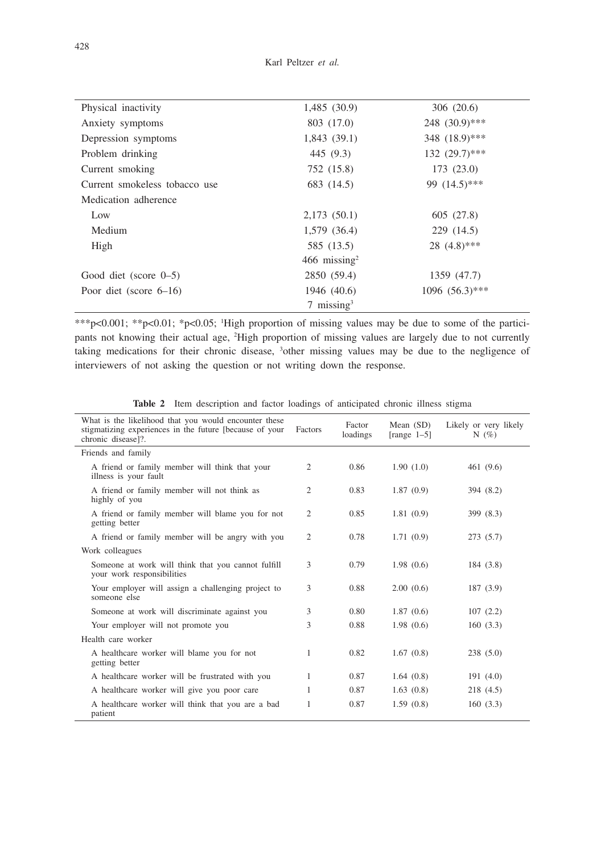| Physical inactivity           | 1,485(30.9)                | 306 (20.6)         |
|-------------------------------|----------------------------|--------------------|
| Anxiety symptoms              | 803 (17.0)                 | $248$ $(30.9)$ *** |
| Depression symptoms           | 1,843(39.1)                | 348 (18.9)***      |
| Problem drinking              | 445 (9.3)                  | $132(29.7)$ ***    |
| Current smoking               | 752 (15.8)                 | 173 (23.0)         |
| Current smokeless tobacco use | 683 (14.5)                 | 99 $(14.5)$ ***    |
| Medication adherence          |                            |                    |
| Low                           | 2,173(50.1)                | 605 (27.8)         |
| Medium                        | 1,579 (36.4)               | 229 (14.5)         |
| High                          | 585 (13.5)                 | $28(4.8)$ ***      |
|                               | $466$ missing <sup>2</sup> |                    |
| Good diet (score $0-5$ )      | 2850 (59.4)                | 1359 (47.7)        |
| Poor diet (score $6-16$ )     | 1946 (40.6)                | $1096 (56.3)$ ***  |
|                               | $7 \text{ missing}^3$      |                    |

\*\*\*p<0.001; \*\*p<0.01; \*p<0.05; 1 High proportion of missing values may be due to some of the participants not knowing their actual age, 2 High proportion of missing values are largely due to not currently taking medications for their chronic disease, 3 other missing values may be due to the negligence of interviewers of not asking the question or not writing down the response.

|  |  |  |  |  |  |  | <b>Table 2</b> Item description and factor loadings of anticipated chronic illness stigma |  |  |  |
|--|--|--|--|--|--|--|-------------------------------------------------------------------------------------------|--|--|--|
|--|--|--|--|--|--|--|-------------------------------------------------------------------------------------------|--|--|--|

| What is the likelihood that you would encounter these<br>stigmatizing experiences in the future [because of your<br>chronic disease]?. | <b>Factors</b> | Factor<br>loadings | Mean $(SD)$<br>$[range 1-5]$ | Likely or very likely<br>N $(\% )$ |
|----------------------------------------------------------------------------------------------------------------------------------------|----------------|--------------------|------------------------------|------------------------------------|
| Friends and family                                                                                                                     |                |                    |                              |                                    |
| A friend or family member will think that your<br>illness is your fault                                                                | 2              | 0.86               | 1.90(1.0)                    | 461 (9.6)                          |
| A friend or family member will not think as<br>highly of you                                                                           | $\overline{2}$ | 0.83               | 1.87(0.9)                    | 394 (8.2)                          |
| A friend or family member will blame you for not<br>getting better                                                                     | 2              | 0.85               | 1.81(0.9)                    | 399 (8.3)                          |
| A friend or family member will be angry with you                                                                                       | $\overline{2}$ | 0.78               | 1.71(0.9)                    | 273(5.7)                           |
| Work colleagues                                                                                                                        |                |                    |                              |                                    |
| Someone at work will think that you cannot fulfill<br>your work responsibilities                                                       | 3              | 0.79               | 1.98(0.6)                    | 184 (3.8)                          |
| Your employer will assign a challenging project to<br>someone else                                                                     | 3              | 0.88               | 2.00(0.6)                    | 187 (3.9)                          |
| Someone at work will discriminate against you                                                                                          | 3              | 0.80               | 1.87(0.6)                    | 107(2.2)                           |
| Your employer will not promote you                                                                                                     | 3              | 0.88               | 1.98(0.6)                    | 160(3.3)                           |
| Health care worker                                                                                                                     |                |                    |                              |                                    |
| A healthcare worker will blame you for not<br>getting better                                                                           | 1              | 0.82               | 1.67(0.8)                    | 238(5.0)                           |
| A healthcare worker will be frustrated with you                                                                                        | 1              | 0.87               | 1.64(0.8)                    | 191(4.0)                           |
| A healthcare worker will give you poor care                                                                                            | 1              | 0.87               | 1.63(0.8)                    | 218 (4.5)                          |
| A healthcare worker will think that you are a bad<br>patient                                                                           | 1              | 0.87               | 1.59(0.8)                    | 160(3.3)                           |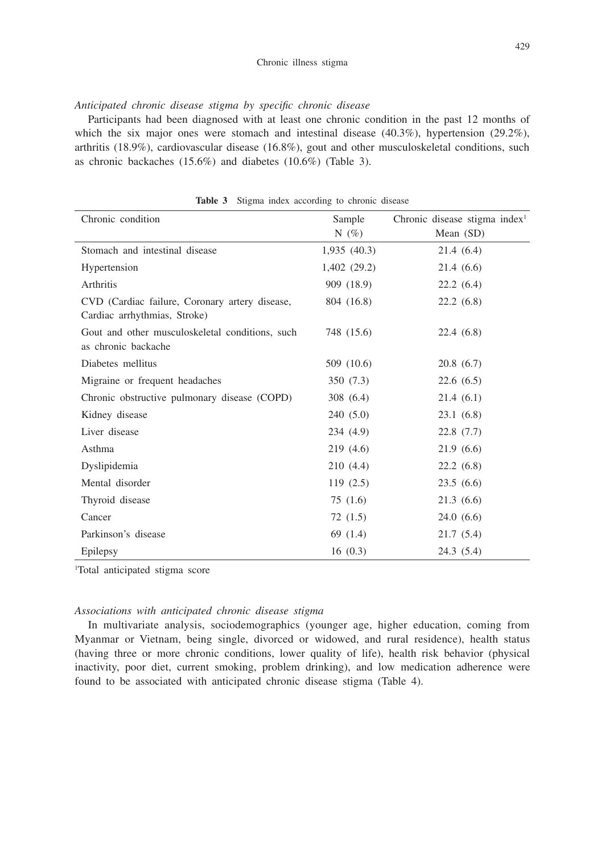*Anticipated chronic disease stigma by specific chronic disease* 

Participants had been diagnosed with at least one chronic condition in the past 12 months of which the six major ones were stomach and intestinal disease  $(40.3\%)$ , hypertension  $(29.2\%)$ , arthritis (18.9%), cardiovascular disease (16.8%), gout and other musculoskeletal conditions, such as chronic backaches (15.6%) and diabetes (10.6%) (Table 3).

| Chronic condition                                                              | Sample      | Chronic disease stigma index <sup>1</sup> |  |
|--------------------------------------------------------------------------------|-------------|-------------------------------------------|--|
|                                                                                | N $(\%)$    | Mean $(SD)$                               |  |
| Stomach and intestinal disease                                                 | 1,935(40.3) | 21.4(6.4)                                 |  |
| Hypertension                                                                   | 1,402(29.2) | 21.4(6.6)                                 |  |
| Arthritis                                                                      | 909 (18.9)  | 22.2(6.4)                                 |  |
| CVD (Cardiac failure, Coronary artery disease,<br>Cardiac arrhythmias, Stroke) | 804 (16.8)  | 22.2(6.8)                                 |  |
| Gout and other musculoskeletal conditions, such<br>as chronic backache         | 748 (15.6)  | 22.4(6.8)                                 |  |
| Diabetes mellitus                                                              | 509 (10.6)  | 20.8(6.7)                                 |  |
| Migraine or frequent headaches                                                 | 350 (7.3)   | 22.6(6.5)                                 |  |
| Chronic obstructive pulmonary disease (COPD)                                   | 308 (6.4)   | 21.4(6.1)                                 |  |
| Kidney disease                                                                 | 240 (5.0)   | 23.1(6.8)                                 |  |
| Liver disease                                                                  | 234 (4.9)   | 22.8(7.7)                                 |  |
| Asthma                                                                         | 219 (4.6)   | 21.9(6.6)                                 |  |
| Dyslipidemia                                                                   | 210 (4.4)   | 22.2(6.8)                                 |  |
| Mental disorder                                                                | 119(2.5)    | 23.5(6.6)                                 |  |
| Thyroid disease                                                                | 75 (1.6)    | 21.3(6.6)                                 |  |
| Cancer                                                                         | 72 (1.5)    | 24.0(6.6)                                 |  |
| Parkinson's disease                                                            | 69 (1.4)    | 21.7(5.4)                                 |  |
| Epilepsy                                                                       | 16(0.3)     | 24.3(5.4)                                 |  |

**Table 3** Stigma index according to chronic disease

1 Total anticipated stigma score

### *Associations with anticipated chronic disease stigma*

In multivariate analysis, sociodemographics (younger age, higher education, coming from Myanmar or Vietnam, being single, divorced or widowed, and rural residence), health status (having three or more chronic conditions, lower quality of life), health risk behavior (physical inactivity, poor diet, current smoking, problem drinking), and low medication adherence were found to be associated with anticipated chronic disease stigma (Table 4).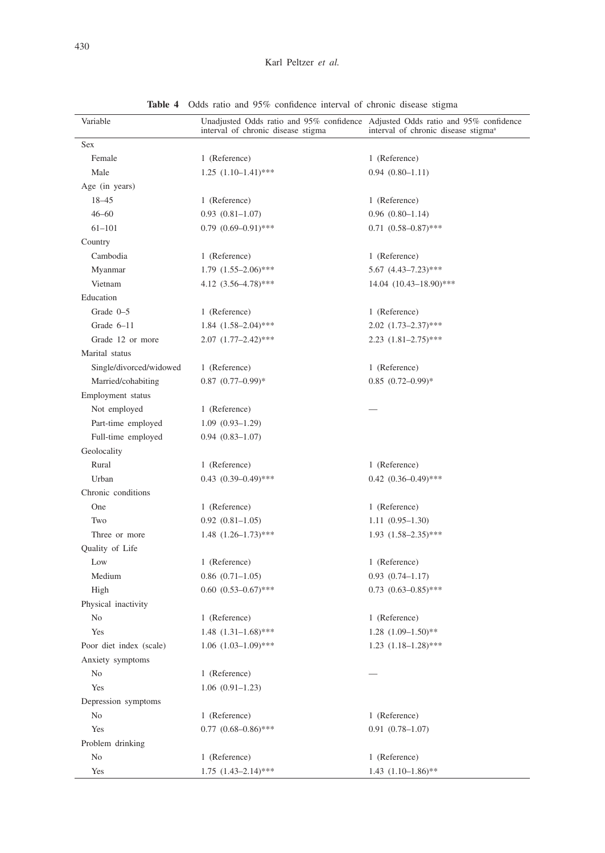| Variable                | Unadjusted Odds ratio and 95% confidence Adjusted Odds ratio and 95% confidence<br>interval of chronic disease stigma | interval of chronic disease stigma <sup>a</sup> |  |  |
|-------------------------|-----------------------------------------------------------------------------------------------------------------------|-------------------------------------------------|--|--|
| Sex                     |                                                                                                                       |                                                 |  |  |
| Female                  | 1 (Reference)                                                                                                         | 1 (Reference)                                   |  |  |
| Male                    | $1.25$ $(1.10-1.41)$ ***                                                                                              | $0.94(0.80-1.11)$                               |  |  |
| Age (in years)          |                                                                                                                       |                                                 |  |  |
| $18 - 45$               | 1 (Reference)                                                                                                         | 1 (Reference)                                   |  |  |
| $46 - 60$               | $0.93(0.81-1.07)$                                                                                                     | $0.96(0.80-1.14)$                               |  |  |
| $61 - 101$              | $0.79$ $(0.69-0.91)$ ***                                                                                              | $0.71(0.58-0.87)$ ***                           |  |  |
| Country                 |                                                                                                                       |                                                 |  |  |
| Cambodia                | 1 (Reference)                                                                                                         | 1 (Reference)                                   |  |  |
| Myanmar                 | $1.79$ $(1.55-2.06)$ ***                                                                                              | $5.67$ $(4.43-7.23)$ ***                        |  |  |
| Vietnam                 | 4.12 $(3.56-4.78)$ ***                                                                                                | 14.04 (10.43-18.90)***                          |  |  |
| Education               |                                                                                                                       |                                                 |  |  |
| Grade $0-5$             | 1 (Reference)                                                                                                         | 1 (Reference)                                   |  |  |
| Grade $6-11$            | $1.84$ $(1.58-2.04)$ ***                                                                                              | $2.02$ $(1.73-2.37)$ ***                        |  |  |
| Grade 12 or more        | $2.07$ $(1.77-2.42)$ ***                                                                                              | $2.23$ $(1.81-2.75)$ ***                        |  |  |
| Marital status          |                                                                                                                       |                                                 |  |  |
| Single/divorced/widowed | 1 (Reference)                                                                                                         | 1 (Reference)                                   |  |  |
| Married/cohabiting      | $0.87$ $(0.77-0.99)*$                                                                                                 | $0.85$ $(0.72 - 0.99)$ *                        |  |  |
| Employment status       |                                                                                                                       |                                                 |  |  |
| Not employed            | 1 (Reference)                                                                                                         |                                                 |  |  |
| Part-time employed      | $1.09(0.93-1.29)$                                                                                                     |                                                 |  |  |
| Full-time employed      | $0.94(0.83-1.07)$                                                                                                     |                                                 |  |  |
| Geolocality             |                                                                                                                       |                                                 |  |  |
| Rural                   | 1 (Reference)                                                                                                         | 1 (Reference)                                   |  |  |
| Urban                   | $0.43$ $(0.39-0.49)$ ***                                                                                              | $0.42$ $(0.36-0.49)$ ***                        |  |  |
| Chronic conditions      |                                                                                                                       |                                                 |  |  |
| One                     | 1 (Reference)                                                                                                         | 1 (Reference)                                   |  |  |
| Two                     | $0.92(0.81-1.05)$                                                                                                     | $1.11(0.95-1.30)$                               |  |  |
| Three or more           | $1.48$ $(1.26-1.73)$ ***                                                                                              | $1.93$ $(1.58-2.35)$ ***                        |  |  |
| Quality of Life         |                                                                                                                       |                                                 |  |  |
| Low                     | 1 (Reference)                                                                                                         | 1 (Reference)                                   |  |  |
| Medium                  | $0.86$ $(0.71-1.05)$                                                                                                  | $0.93(0.74 - 1.17)$                             |  |  |
| High                    | $0.60$ $(0.53-0.67)$ ***                                                                                              | $0.73$ $(0.63-0.85)$ ***                        |  |  |
| Physical inactivity     |                                                                                                                       |                                                 |  |  |
| No                      | 1 (Reference)                                                                                                         | 1 (Reference)                                   |  |  |
| Yes                     | $1.48$ $(1.31-1.68)$ ***                                                                                              | $1.28$ $(1.09-1.50)*$                           |  |  |
| Poor diet index (scale) | $1.06$ $(1.03-1.09)$ ***                                                                                              | $1.23$ $(1.18-1.28)$ ***                        |  |  |
| Anxiety symptoms        |                                                                                                                       |                                                 |  |  |
| No                      | 1 (Reference)                                                                                                         |                                                 |  |  |
| Yes                     | $1.06(0.91-1.23)$                                                                                                     |                                                 |  |  |
| Depression symptoms     |                                                                                                                       |                                                 |  |  |
| No                      | 1 (Reference)                                                                                                         | 1 (Reference)                                   |  |  |
| Yes                     | $0.77$ $(0.68 - 0.86)$ ***                                                                                            | $0.91(0.78 - 1.07)$                             |  |  |
| Problem drinking        |                                                                                                                       |                                                 |  |  |
| No                      | 1 (Reference)                                                                                                         | 1 (Reference)                                   |  |  |
| Yes                     | $1.75$ $(1.43-2.14)$ ***                                                                                              | $1.43$ $(1.10-1.86)$ **                         |  |  |

**Table 4** Odds ratio and 95% confidence interval of chronic disease stigma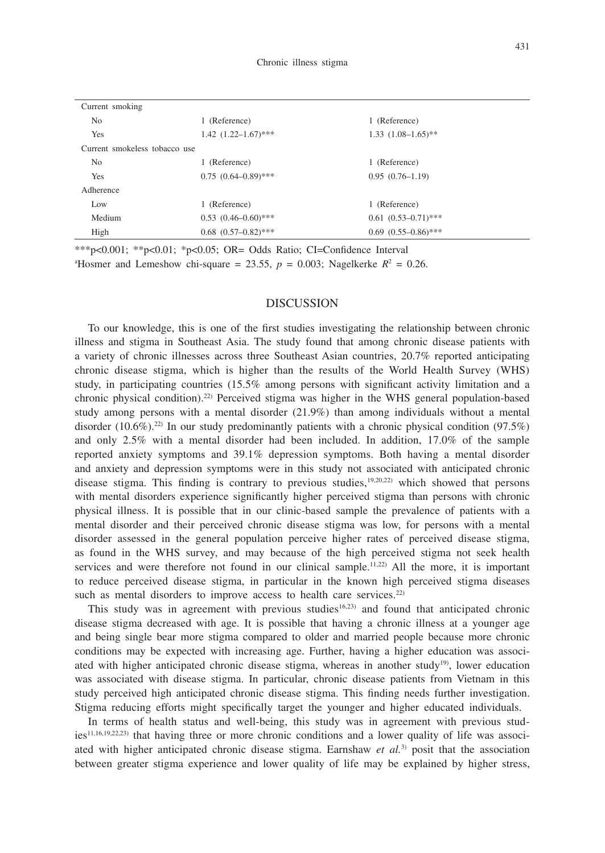| Current smoking               |                            |                          |  |
|-------------------------------|----------------------------|--------------------------|--|
| N <sub>o</sub>                | 1 (Reference)              | 1 (Reference)            |  |
| Yes                           | $1.42$ $(1.22 - 1.67)$ *** | $1.33$ $(1.08-1.65)$ **  |  |
| Current smokeless tobacco use |                            |                          |  |
| N <sub>o</sub>                | 1 (Reference)              | 1 (Reference)            |  |
| Yes                           | $0.75(0.64 - 0.89)$ ***    | $0.95(0.76-1.19)$        |  |
| Adherence                     |                            |                          |  |
| Low                           | 1 (Reference)              | 1 (Reference)            |  |
| Medium                        | $0.53$ $(0.46-0.60)$ ***   | $0.61$ $(0.53-0.71)$ *** |  |
| High                          | $0.68$ $(0.57-0.82)$ ***   | $0.69$ $(0.55-0.86)$ *** |  |

\*\*\*p<0.001; \*\*p<0.01; \*p<0.05; OR= Odds Ratio; CI=Confidence Interval <sup>a</sup>Hosmer and Lemeshow chi-square = 23.55,  $p = 0.003$ ; Nagelkerke  $R^2 = 0.26$ .

#### DISCUSSION

To our knowledge, this is one of the first studies investigating the relationship between chronic illness and stigma in Southeast Asia. The study found that among chronic disease patients with a variety of chronic illnesses across three Southeast Asian countries, 20.7% reported anticipating chronic disease stigma, which is higher than the results of the World Health Survey (WHS) study, in participating countries (15.5% among persons with significant activity limitation and a chronic physical condition).22) Perceived stigma was higher in the WHS general population-based study among persons with a mental disorder (21.9%) than among individuals without a mental disorder  $(10.6\%)^{22}$  In our study predominantly patients with a chronic physical condition (97.5%) and only 2.5% with a mental disorder had been included. In addition, 17.0% of the sample reported anxiety symptoms and 39.1% depression symptoms. Both having a mental disorder and anxiety and depression symptoms were in this study not associated with anticipated chronic disease stigma. This finding is contrary to previous studies, $19,20,22$  which showed that persons with mental disorders experience significantly higher perceived stigma than persons with chronic physical illness. It is possible that in our clinic-based sample the prevalence of patients with a mental disorder and their perceived chronic disease stigma was low, for persons with a mental disorder assessed in the general population perceive higher rates of perceived disease stigma, as found in the WHS survey, and may because of the high perceived stigma not seek health services and were therefore not found in our clinical sample.<sup>11,22</sup>) All the more, it is important to reduce perceived disease stigma, in particular in the known high perceived stigma diseases such as mental disorders to improve access to health care services.<sup>22)</sup>

This study was in agreement with previous studies<sup>16,23)</sup> and found that anticipated chronic disease stigma decreased with age. It is possible that having a chronic illness at a younger age and being single bear more stigma compared to older and married people because more chronic conditions may be expected with increasing age. Further, having a higher education was associated with higher anticipated chronic disease stigma, whereas in another study<sup>19)</sup>, lower education was associated with disease stigma. In particular, chronic disease patients from Vietnam in this study perceived high anticipated chronic disease stigma. This finding needs further investigation. Stigma reducing efforts might specifically target the younger and higher educated individuals.

In terms of health status and well-being, this study was in agreement with previous studies<sup>11,16,19,22,23)</sup> that having three or more chronic conditions and a lower quality of life was associated with higher anticipated chronic disease stigma. Earnshaw *et al.*3) posit that the association between greater stigma experience and lower quality of life may be explained by higher stress,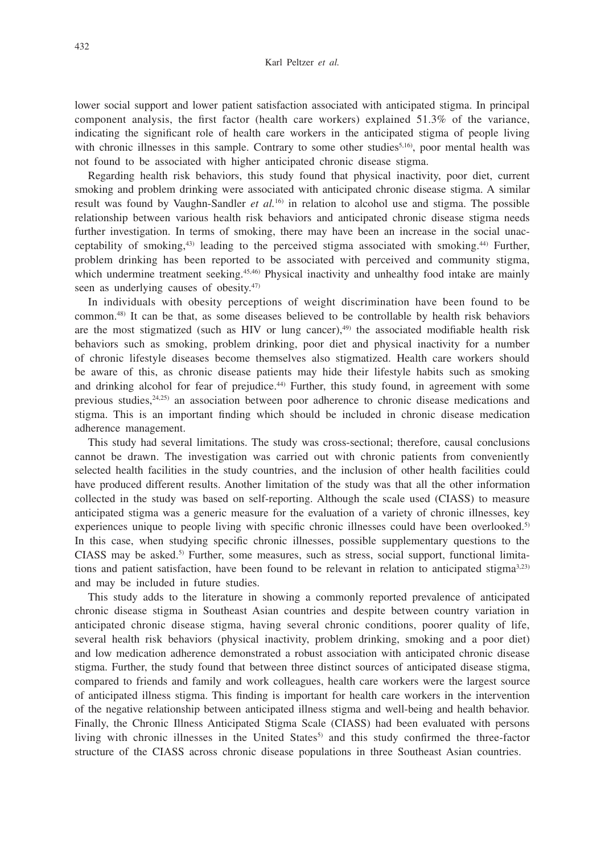lower social support and lower patient satisfaction associated with anticipated stigma. In principal component analysis, the first factor (health care workers) explained 51.3% of the variance, indicating the significant role of health care workers in the anticipated stigma of people living with chronic illnesses in this sample. Contrary to some other studies<sup>5,16</sup>, poor mental health was not found to be associated with higher anticipated chronic disease stigma.

Regarding health risk behaviors, this study found that physical inactivity, poor diet, current smoking and problem drinking were associated with anticipated chronic disease stigma. A similar result was found by Vaughn-Sandler *et al.*16) in relation to alcohol use and stigma. The possible relationship between various health risk behaviors and anticipated chronic disease stigma needs further investigation. In terms of smoking, there may have been an increase in the social unacceptability of smoking, $43$ ) leading to the perceived stigma associated with smoking. $44$ ) Further, problem drinking has been reported to be associated with perceived and community stigma, which undermine treatment seeking.<sup>45,46)</sup> Physical inactivity and unhealthy food intake are mainly seen as underlying causes of obesity.<sup>47)</sup>

In individuals with obesity perceptions of weight discrimination have been found to be common.48) It can be that, as some diseases believed to be controllable by health risk behaviors are the most stigmatized (such as HIV or lung cancer), $49$  the associated modifiable health risk behaviors such as smoking, problem drinking, poor diet and physical inactivity for a number of chronic lifestyle diseases become themselves also stigmatized. Health care workers should be aware of this, as chronic disease patients may hide their lifestyle habits such as smoking and drinking alcohol for fear of prejudice.<sup>44)</sup> Further, this study found, in agreement with some previous studies,24,25) an association between poor adherence to chronic disease medications and stigma. This is an important finding which should be included in chronic disease medication adherence management.

This study had several limitations. The study was cross-sectional; therefore, causal conclusions cannot be drawn. The investigation was carried out with chronic patients from conveniently selected health facilities in the study countries, and the inclusion of other health facilities could have produced different results. Another limitation of the study was that all the other information collected in the study was based on self-reporting. Although the scale used (CIASS) to measure anticipated stigma was a generic measure for the evaluation of a variety of chronic illnesses, key experiences unique to people living with specific chronic illnesses could have been overlooked.<sup>5)</sup> In this case, when studying specific chronic illnesses, possible supplementary questions to the CIASS may be asked.5) Further, some measures, such as stress, social support, functional limitations and patient satisfaction, have been found to be relevant in relation to anticipated stigma<sup>3,23)</sup> and may be included in future studies.

This study adds to the literature in showing a commonly reported prevalence of anticipated chronic disease stigma in Southeast Asian countries and despite between country variation in anticipated chronic disease stigma, having several chronic conditions, poorer quality of life, several health risk behaviors (physical inactivity, problem drinking, smoking and a poor diet) and low medication adherence demonstrated a robust association with anticipated chronic disease stigma. Further, the study found that between three distinct sources of anticipated disease stigma, compared to friends and family and work colleagues, health care workers were the largest source of anticipated illness stigma. This finding is important for health care workers in the intervention of the negative relationship between anticipated illness stigma and well-being and health behavior. Finally, the Chronic Illness Anticipated Stigma Scale (CIASS) had been evaluated with persons living with chronic illnesses in the United States<sup>5</sup> and this study confirmed the three-factor structure of the CIASS across chronic disease populations in three Southeast Asian countries.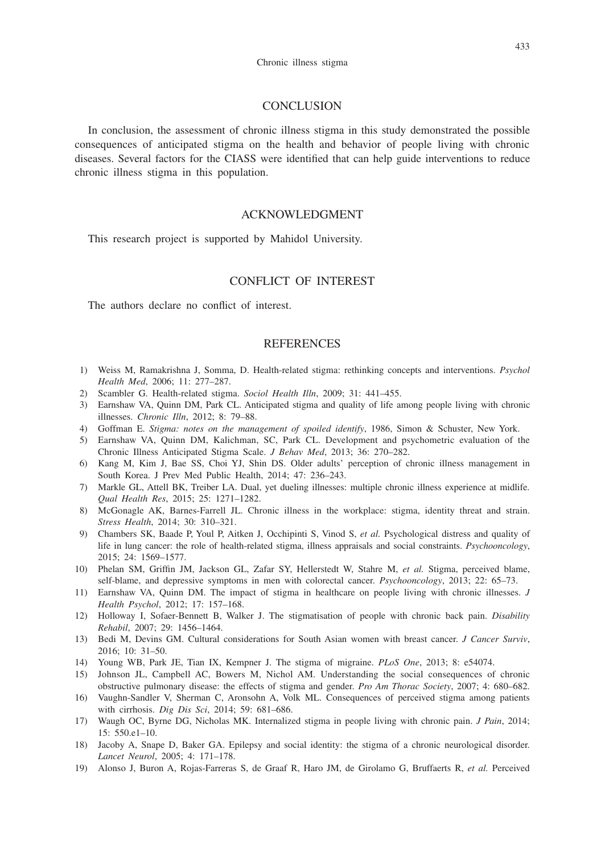### **CONCLUSION**

In conclusion, the assessment of chronic illness stigma in this study demonstrated the possible consequences of anticipated stigma on the health and behavior of people living with chronic diseases. Several factors for the CIASS were identified that can help guide interventions to reduce chronic illness stigma in this population.

# ACKNOWLEDGMENT

This research project is supported by Mahidol University.

# CONFLICT OF INTEREST

The authors declare no conflict of interest.

## **REFERENCES**

- 1) Weiss M, Ramakrishna J, Somma, D. Health-related stigma: rethinking concepts and interventions. *Psychol Health Med*, 2006; 11: 277–287.
- 2) Scambler G. Health-related stigma. *Sociol Health Illn*, 2009; 31: 441–455.
- 3) Earnshaw VA, Quinn DM, Park CL. Anticipated stigma and quality of life among people living with chronic illnesses. *Chronic Illn*, 2012; 8: 79–88.
- 4) Goffman E. *Stigma: notes on the management of spoiled identify*, 1986, Simon & Schuster, New York.
- 5) Earnshaw VA, Quinn DM, Kalichman, SC, Park CL. Development and psychometric evaluation of the Chronic Illness Anticipated Stigma Scale. *J Behav Med*, 2013; 36: 270–282.
- 6) Kang M, Kim J, Bae SS, Choi YJ, Shin DS. Older adults' perception of chronic illness management in South Korea. J Prev Med Public Health, 2014; 47: 236–243.
- 7) Markle GL, Attell BK, Treiber LA. Dual, yet dueling illnesses: multiple chronic illness experience at midlife. *Qual Health Res*, 2015; 25: 1271–1282.
- 8) McGonagle AK, Barnes-Farrell JL. Chronic illness in the workplace: stigma, identity threat and strain. *Stress Health*, 2014; 30: 310–321.
- 9) Chambers SK, Baade P, Youl P, Aitken J, Occhipinti S, Vinod S, *et al.* Psychological distress and quality of life in lung cancer: the role of health-related stigma, illness appraisals and social constraints. *Psychooncology*, 2015; 24: 1569–1577.
- 10) Phelan SM, Griffin JM, Jackson GL, Zafar SY, Hellerstedt W, Stahre M, *et al.* Stigma, perceived blame, self-blame, and depressive symptoms in men with colorectal cancer. *Psychooncology*, 2013; 22: 65–73.
- 11) Earnshaw VA, Quinn DM. The impact of stigma in healthcare on people living with chronic illnesses. *J Health Psychol*, 2012; 17: 157–168.
- 12) Holloway I, Sofaer-Bennett B, Walker J. The stigmatisation of people with chronic back pain. *Disability Rehabil*, 2007; 29: 1456–1464.
- 13) Bedi M, Devins GM. Cultural considerations for South Asian women with breast cancer. *J Cancer Surviv*, 2016; 10: 31–50.
- 14) Young WB, Park JE, Tian IX, Kempner J. The stigma of migraine. *PLoS One*, 2013; 8: e54074.
- 15) Johnson JL, Campbell AC, Bowers M, Nichol AM. Understanding the social consequences of chronic obstructive pulmonary disease: the effects of stigma and gender. *Pro Am Thorac Society*, 2007; 4: 680–682.
- 16) Vaughn-Sandler V, Sherman C, Aronsohn A, Volk ML. Consequences of perceived stigma among patients with cirrhosis. *Dig Dis Sci*, 2014; 59: 681–686.
- 17) Waugh OC, Byrne DG, Nicholas MK. Internalized stigma in people living with chronic pain. *J Pain*, 2014; 15: 550.e1–10.
- 18) Jacoby A, Snape D, Baker GA. Epilepsy and social identity: the stigma of a chronic neurological disorder. *Lancet Neurol*, 2005; 4: 171–178.
- 19) Alonso J, Buron A, Rojas-Farreras S, de Graaf R, Haro JM, de Girolamo G, Bruffaerts R, *et al.* Perceived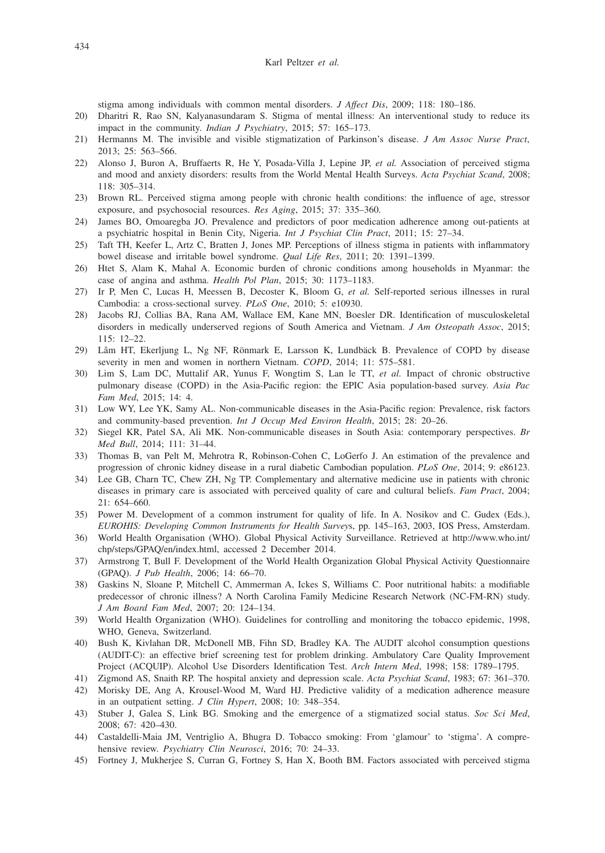stigma among individuals with common mental disorders. *J Affect Dis*, 2009; 118: 180–186.

- 20) Dharitri R, Rao SN, Kalyanasundaram S. Stigma of mental illness: An interventional study to reduce its impact in the community. *Indian J Psychiatry*, 2015; 57: 165–173.
- 21) Hermanns M. The invisible and visible stigmatization of Parkinson's disease. *J Am Assoc Nurse Pract*, 2013; 25: 563–566.
- 22) Alonso J, Buron A, Bruffaerts R, He Y, Posada-Villa J, Lepine JP, *et al.* Association of perceived stigma and mood and anxiety disorders: results from the World Mental Health Surveys. *Acta Psychiat Scand*, 2008; 118: 305–314.
- 23) Brown RL. Perceived stigma among people with chronic health conditions: the influence of age, stressor exposure, and psychosocial resources. *Res Aging*, 2015; 37: 335–360.
- 24) James BO, Omoaregba JO. Prevalence and predictors of poor medication adherence among out-patients at a psychiatric hospital in Benin City, Nigeria. *Int J Psychiat Clin Pract*, 2011; 15: 27–34.
- 25) Taft TH, Keefer L, Artz C, Bratten J, Jones MP. Perceptions of illness stigma in patients with inflammatory bowel disease and irritable bowel syndrome. *Qual Life Res*, 2011; 20: 1391–1399.
- 26) Htet S, Alam K, Mahal A. Economic burden of chronic conditions among households in Myanmar: the case of angina and asthma. *Health Pol Plan*, 2015; 30: 1173–1183.
- 27) Ir P, Men C, Lucas H, Meessen B, Decoster K, Bloom G, *et al.* Self-reported serious illnesses in rural Cambodia: a cross-sectional survey. *PLoS One*, 2010; 5: e10930.
- 28) Jacobs RJ, Collias BA, Rana AM, Wallace EM, Kane MN, Boesler DR. Identification of musculoskeletal disorders in medically underserved regions of South America and Vietnam. *J Am Osteopath Assoc*, 2015; 115: 12–22.
- 29) Lâm HT, Ekerljung L, Ng NF, Rönmark E, Larsson K, Lundbäck B. Prevalence of COPD by disease severity in men and women in northern Vietnam. *COPD*, 2014; 11: 575–581.
- 30) Lim S, Lam DC, Muttalif AR, Yunus F, Wongtim S, Lan le TT, *et al.* Impact of chronic obstructive pulmonary disease (COPD) in the Asia-Pacific region: the EPIC Asia population-based survey. *Asia Pac Fam Med*, 2015; 14: 4.
- 31) Low WY, Lee YK, Samy AL. Non-communicable diseases in the Asia-Pacific region: Prevalence, risk factors and community-based prevention. *Int J Occup Med Environ Health*, 2015; 28: 20–26.
- 32) Siegel KR, Patel SA, Ali MK. Non-communicable diseases in South Asia: contemporary perspectives. *Br Med Bull*, 2014; 111: 31–44.
- 33) Thomas B, van Pelt M, Mehrotra R, Robinson-Cohen C, LoGerfo J. An estimation of the prevalence and progression of chronic kidney disease in a rural diabetic Cambodian population. *PLoS One*, 2014; 9: e86123.
- 34) Lee GB, Charn TC, Chew ZH, Ng TP. Complementary and alternative medicine use in patients with chronic diseases in primary care is associated with perceived quality of care and cultural beliefs. *Fam Pract*, 2004; 21: 654–660.
- 35) Power M. Development of a common instrument for quality of life. In A. Nosikov and C. Gudex (Eds.), *EUROHIS: Developing Common Instruments for Health Survey*s, pp. 145–163, 2003, IOS Press, Amsterdam.
- 36) World Health Organisation (WHO). Global Physical Activity Surveillance. Retrieved at http://www.who.int/ chp/steps/GPAQ/en/index.html, accessed 2 December 2014.
- 37) Armstrong T, Bull F. Development of the World Health Organization Global Physical Activity Questionnaire (GPAQ). *J Pub Health*, 2006; 14: 66–70.
- 38) Gaskins N, Sloane P, Mitchell C, Ammerman A, Ickes S, Williams C. Poor nutritional habits: a modifiable predecessor of chronic illness? A North Carolina Family Medicine Research Network (NC-FM-RN) study. *J Am Board Fam Med*, 2007; 20: 124–134.
- 39) World Health Organization (WHO). Guidelines for controlling and monitoring the tobacco epidemic, 1998, WHO, Geneva, Switzerland.
- 40) Bush K, Kivlahan DR, McDonell MB, Fihn SD, Bradley KA. The AUDIT alcohol consumption questions (AUDIT-C): an effective brief screening test for problem drinking. Ambulatory Care Quality Improvement Project (ACQUIP). Alcohol Use Disorders Identification Test. *Arch Intern Med*, 1998; 158: 1789–1795.
- 41) Zigmond AS, Snaith RP. The hospital anxiety and depression scale. *Acta Psychiat Scand*, 1983; 67: 361–370.
- 42) Morisky DE, Ang A, Krousel-Wood M, Ward HJ. Predictive validity of a medication adherence measure in an outpatient setting. *J Clin Hypert*, 2008; 10: 348–354.
- 43) Stuber J, Galea S, Link BG. Smoking and the emergence of a stigmatized social status. *Soc Sci Med*, 2008; 67: 420–430.
- 44) Castaldelli-Maia JM, Ventriglio A, Bhugra D. Tobacco smoking: From 'glamour' to 'stigma'. A comprehensive review. *Psychiatry Clin Neurosci*, 2016; 70: 24–33.
- 45) Fortney J, Mukherjee S, Curran G, Fortney S, Han X, Booth BM. Factors associated with perceived stigma